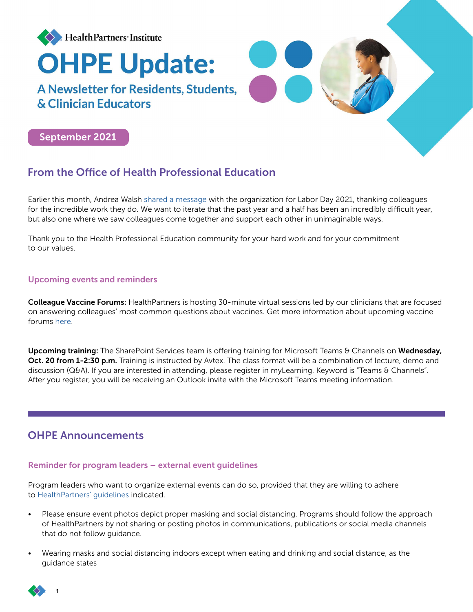

# From the Office of Health Professional Education

Earlier this month, Andrea Walsh [shared a message](https://mynews.healthpartners.com/andreas-blog/a-message-for-labor-day-2021/) with the organization for Labor Day 2021, thanking colleagues for the incredible work they do. We want to iterate that the past year and a half has been an incredibly difficult year, but also one where we saw colleagues come together and support each other in unimaginable ways.

Thank you to the Health Professional Education community for your hard work and for your commitment to our values.

### Upcoming events and reminders

Colleague Vaccine Forums: HealthPartners is hosting 30-minute virtual sessions led by our clinicians that are focused on answering colleagues' most common questions about vaccines. Get more information about upcoming vaccine forums [here.](https://intranet.healthpartners.com/Employee-Health/Pages/forums.aspx)

Upcoming training: The SharePoint Services team is offering training for Microsoft Teams & Channels on Wednesday, Oct. 20 from 1-2:30 p.m. Training is instructed by Avtex. The class format will be a combination of lecture, demo and discussion (Q&A). If you are interested in attending, please register in myLearning. Keyword is "Teams & Channels". After you register, you will be receiving an Outlook invite with the Microsoft Teams meeting information.

## OHPE Announcements

## Reminder for program leaders – external event guidelines

Program leaders who want to organize external events can do so, provided that they are willing to adhere to [HealthPartners' guidelines](https://intranet.healthpartners.com/Coronavirus/Pages/return.aspx#:~:text=Go%20to%3A-,Meetings%20%26%20Gatherings,-Cafes%2C%20break%20rooms) indicated.

- Please ensure event photos depict proper masking and social distancing. Programs should follow the approach of HealthPartners by not sharing or posting photos in communications, publications or social media channels that do not follow guidance.
- Wearing masks and social distancing indoors except when eating and drinking and social distance, as the guidance states

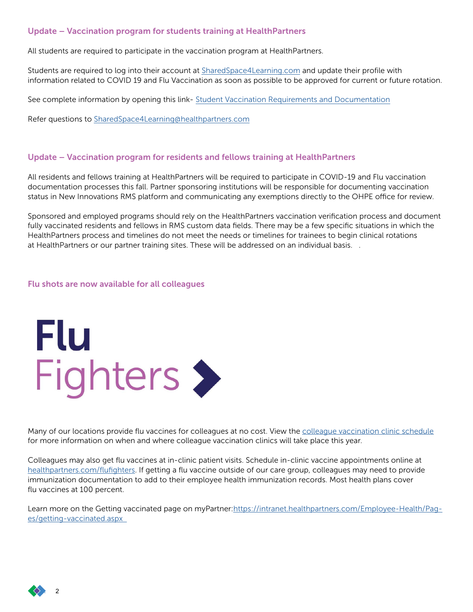### Update – Vaccination program for students training at HealthPartners

All students are required to participate in the vaccination program at HealthPartners.

Students are required to log into their account at [SharedSpace4Learning.com](https://sharedspace4learning.com/ctt/signin) and update their profile with information related to COVID 19 and Flu Vaccination as soon as possible to be approved for current or future rotation.

See complete information by opening this link- [Student Vaccination Requirements and Documentation](https://nam02.safelinks.protection.outlook.com/?url=https%3A%2F%2Fwww.sharedspace4learning.com%2Fctt%2Fpublic-files%2F27&data=04%7C01%7CZandra.D.Taylor%40healthpartners.com%7Ca3a07dcd0b6f43d469e308d982989d29%7C9539230a521345429ca6b0ec58c41a4d%7C0%7C0%7C637684414262013425%7CUnknown%7CTWFpbGZsb3d8eyJWIjoiMC4wLjAwMDAiLCJQIjoiV2luMzIiLCJBTiI6Ik1haWwiLCJXVCI6Mn0%3D%7C1000&sdata=rPJPh5LXwVIW943VwfGCEcyHBHfKbwGrgeGMACKSMkI%3D&reserved=0)

Refer questions to [SharedSpace4Learning@healthpartners.com](mailto:SharedSpace4Learning%40healthpartners.com?subject=)

#### Update – Vaccination program for residents and fellows training at HealthPartners

All residents and fellows training at HealthPartners will be required to participate in COVID-19 and Flu vaccination documentation processes this fall. Partner sponsoring institutions will be responsible for documenting vaccination status in New Innovations RMS platform and communicating any exemptions directly to the OHPE office for review.

Sponsored and employed programs should rely on the HealthPartners vaccination verification process and document fully vaccinated residents and fellows in RMS custom data fields. There may be a few specific situations in which the HealthPartners process and timelines do not meet the needs or timelines for trainees to begin clinical rotations at HealthPartners or our partner training sites. These will be addressed on an individual basis. .

#### Flu shots are now available for all colleagues



Many of our locations provide flu vaccines for colleagues at no cost. View the <u>colleague vaccination clinic schedule</u> for more information on when and where colleague vaccination clinics will take place this year.

Colleagues may also get flu vaccines at in-clinic patient visits. Schedule in-clinic vaccine appointments online at **Superior conference room** [healthpartners.com/flufighters.](https://www.healthpartners.com/care/everyday/primary-care/flu-treatment/flu-shot-vaccine/) If getting a flu vaccine outside of our care group, colleagues may need to provide flu vaccines at 100 percent. immunization documentation to add to their employee health immunization records. Most health plans cover

Learn more on the Getting vaccinated page on myPartner:<u>https://intranet.healthpartners.com/Employee-Health/Pag-</u> <u>[es/getting-vaccinated.aspx](https://intranet.healthpartners.com/Employee-Health/Pages/getting-vaccinated.aspx)</u>

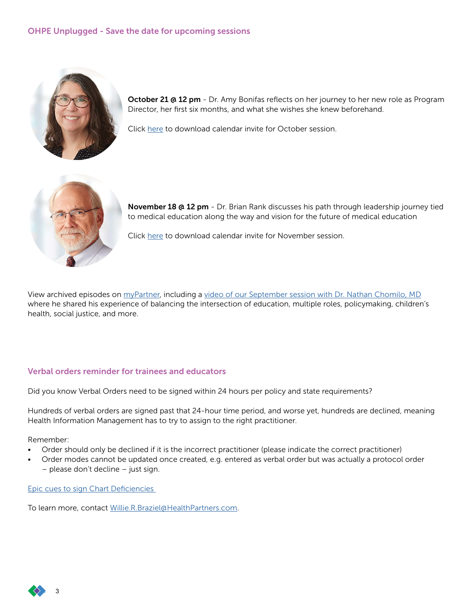

**October 21 @ 12 pm** - Dr. Amy Bonifas reflects on her journey to her new role as Program Director, her first six months, and what she wishes she knew beforehand.

Click [here](https://intranet.healthpartners.com/Clinical-Educator-Trainee-Resources/Documents/OHPE%20unplugged-october.ics?csf=1&e=NK5g0i) to download calendar invite for October session.



November 18 @ 12 pm - Dr. Brian Rank discusses his path through leadership journey tied to medical education along the way and vision for the future of medical education

Click [here](https://intranet.healthpartners.com/Clinical-Educator-Trainee-Resources/Documents/OHPE%20unplugged-november.ics?csf=1&e=nCgc7D) to download calendar invite for November session.

View archived episodes on [myPartner,](https://intranet.healthpartners.com/Clinical-Educator-Trainee-Resources/Pages/OHPE-Unplugged.aspx) including a [video of our September session with Dr. Nathan Chomilo, MD](https://www.youtube.com/watch?v=eHUvyw4jYiQ) where he shared his experience of balancing the intersection of education, multiple roles, policymaking, children's health, social justice, and more.

## Verbal orders reminder for trainees and educators

Did you know Verbal Orders need to be signed within 24 hours per policy and state requirements?

Hundreds of verbal orders are signed past that 24-hour time period, and worse yet, hundreds are declined, meaning Health Information Management has to try to assign to the right practitioner.

Remember:

- Order should only be declined if it is the incorrect practitioner (please indicate the correct practitioner)
- Order modes cannot be updated once created, e.g. entered as verbal order but was actually a protocol order – please don't decline – just sign.

[Epic cues to sign Chart Deficiencies](https://nam02.safelinks.protection.outlook.com/?url=https%3A%2F%2Fmynews.healthpartners.com%2Fwp-content%2Fuploads%2F2021%2F09%2FEpic-cues.pdf&data=04%7C01%7CCecily.D.Spencer%40HealthPartners.Com%7C3e2cafb288844c4636b208d97d16de45%7C9539230a521345429ca6b0ec58c41a4d%7C0%7C0%7C637678359501523564%7CUnknown%7CTWFpbGZsb3d8eyJWIjoiMC4wLjAwMDAiLCJQIjoiV2luMzIiLCJBTiI6Ik1haWwiLCJXVCI6Mn0%3D%7C1000&sdata=FdSO33hPjNxubw3OzTuFFGvTeOKAyTzWgu49Uy1pzdM%3D&reserved=0) 

To learn more, contact [Willie.R.Braziel@HealthPartners.com](mailto:Willie.R.Braziel%40HealthPartners.com?subject=).